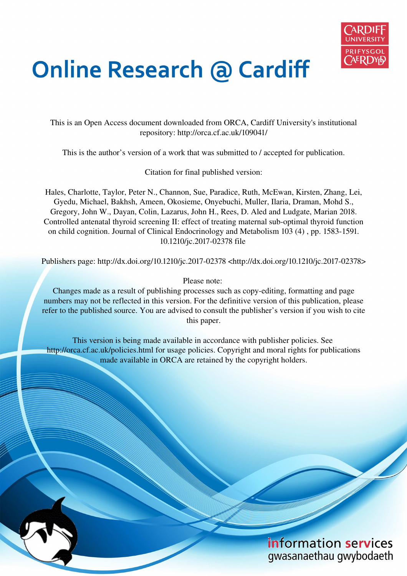

# **Online Research @ Cardiff**

This is an Open Access document downloaded from ORCA, Cardiff University's institutional repository: http://orca.cf.ac.uk/109041/

This is the author's version of a work that was submitted to / accepted for publication.

Citation for final published version:

Hales, Charlotte, Taylor, Peter N., Channon, Sue, Paradice, Ruth, McEwan, Kirsten, Zhang, Lei, Gyedu, Michael, Bakhsh, Ameen, Okosieme, Onyebuchi, Muller, Ilaria, Draman, Mohd S., Gregory, John W., Dayan, Colin, Lazarus, John H., Rees, D. Aled and Ludgate, Marian 2018. Controlled antenatal thyroid screening II: effect of treating maternal sub-optimal thyroid function on child cognition. Journal of Clinical Endocrinology and Metabolism 103 (4) , pp. 1583-1591. 10.1210/jc.2017-02378 file

Publishers page: http://dx.doi.org/10.1210/jc.2017-02378 <http://dx.doi.org/10.1210/jc.2017-02378>

Please note:

Changes made as a result of publishing processes such as copy-editing, formatting and page numbers may not be reflected in this version. For the definitive version of this publication, please refer to the published source. You are advised to consult the publisher's version if you wish to cite this paper.

This version is being made available in accordance with publisher policies. See http://orca.cf.ac.uk/policies.html for usage policies. Copyright and moral rights for publications made available in ORCA are retained by the copyright holders.

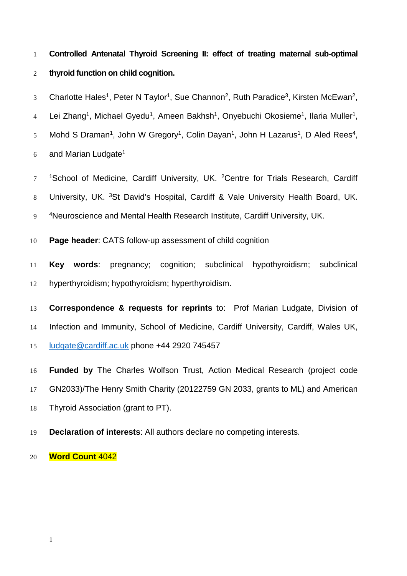**Controlled Antenatal Thyroid Screening II: effect of treating maternal sub-optimal thyroid function on child cognition.**

3 Charlotte Hales<sup>1</sup>, Peter N Taylor<sup>1</sup>, Sue Channon<sup>2</sup>, Ruth Paradice<sup>3</sup>, Kirsten McEwan<sup>2</sup>,

4 Lei Zhang<sup>1</sup>, Michael Gyedu<sup>1</sup>, Ameen Bakhsh<sup>1</sup>, Onyebuchi Okosieme<sup>1</sup>, Ilaria Muller<sup>1</sup>,

5 Mohd S Draman<sup>1</sup>, John W Gregory<sup>1</sup>, Colin Dayan<sup>1</sup>, John H Lazarus<sup>1</sup>, D Aled Rees<sup>4</sup>,

and Marian Ludgate<sup>1</sup> 

<sup>1</sup>School of Medicine, Cardiff University, UK. <sup>2</sup> Centre for Trials Research, Cardiff 8 University, UK. <sup>3</sup>St David's Hospital, Cardiff & Vale University Health Board, UK. <sup>4</sup>Neuroscience and Mental Health Research Institute, Cardiff University, UK.

**Page header**: CATS follow-up assessment of child cognition

 **Key words**: pregnancy; cognition; subclinical hypothyroidism; subclinical hyperthyroidism; hypothyroidism; hyperthyroidism.

 **Correspondence & requests for reprints** to: Prof Marian Ludgate, Division of Infection and Immunity, School of Medicine, Cardiff University, Cardiff, Wales UK, [ludgate@cardiff.ac.uk](mailto:ludgate@cardiff.ac.uk) phone +44 2920 745457

 **Funded by** The Charles Wolfson Trust, Action Medical Research (project code GN2033)/The Henry Smith Charity (20122759 GN 2033, grants to ML) and American

- Thyroid Association (grant to PT).
- **Declaration of interests**: All authors declare no competing interests.
- **Word Count** 4042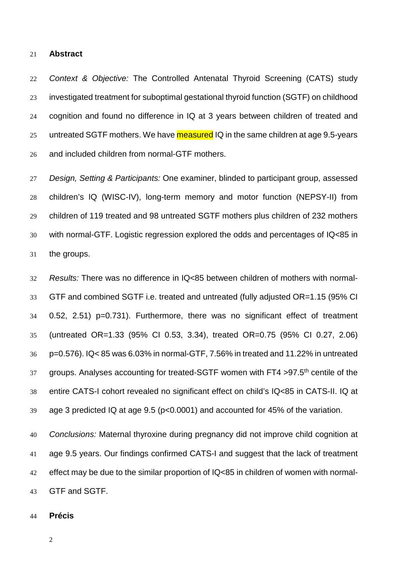#### **Abstract**

 Context & Objective: The Controlled Antenatal Thyroid Screening (CATS) study investigated treatment for suboptimal gestational thyroid function (SGTF) on childhood cognition and found no difference in IQ at 3 years between children of treated and 25 untreated SGTF mothers. We have measured IQ in the same children at age 9.5-years and included children from normal-GTF mothers.

 Design, Setting & Participants: One examiner, blinded to participant group, assessed children's IQ (WISC-IV), long-term memory and motor function (NEPSY-II) from children of 119 treated and 98 untreated SGTF mothers plus children of 232 mothers with normal-GTF. Logistic regression explored the odds and percentages of IQ<85 in the groups.

 Results: There was no difference in IQ<85 between children of mothers with normal- GTF and combined SGTF i.e. treated and untreated (fully adjusted OR=1.15 (95% CI 0.52, 2.51) p=0.731). Furthermore, there was no significant effect of treatment (untreated OR=1.33 (95% CI 0.53, 3.34), treated OR=0.75 (95% CI 0.27, 2.06) p=0.576). IQ< 85 was 6.03% in normal-GTF, 7.56% in treated and 11.22% in untreated groups. Analyses accounting for treated-SGTF women with FT4 >97.5<sup>th</sup> centile of the entire CATS-I cohort revealed no significant effect on child's IQ<85 in CATS-II. IQ at age 3 predicted IQ at age 9.5 (p<0.0001) and accounted for 45% of the variation.

 Conclusions: Maternal thyroxine during pregnancy did not improve child cognition at age 9.5 years. Our findings confirmed CATS-I and suggest that the lack of treatment effect may be due to the similar proportion of IQ<85 in children of women with normal-GTF and SGTF.

**Précis**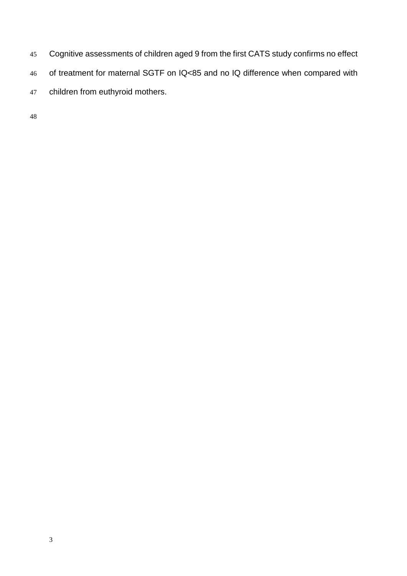- Cognitive assessments of children aged 9 from the first CATS study confirms no effect of treatment for maternal SGTF on IQ<85 and no IQ difference when compared with
- children from euthyroid mothers.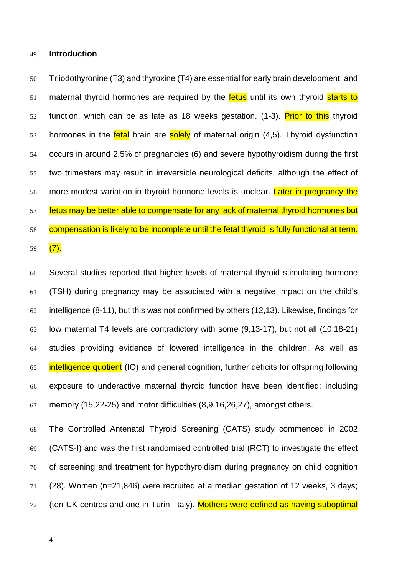#### **Introduction**

 Triiodothyronine (T3) and thyroxine (T4) are essential for early brain development, and 51 maternal thyroid hormones are required by the fetus until its own thyroid starts to 52 function, which can be as late as 18 weeks gestation. [\(1-3\)](#page-18-0). Prior to this thyroid 53 hormones in the **fetal** brain are solely of maternal origin [\(4](#page-18-1)[,5\)](#page-18-2). Thyroid dysfunction occurs in around 2.5% of pregnancies [\(6\)](#page-18-3) and severe hypothyroidism during the first two trimesters may result in irreversible neurological deficits, although the effect of 56 more modest variation in thyroid hormone levels is unclear. Later in pregnancy the 57 fetus may be better able to compensate for any lack of maternal thyroid hormones but compensation is likely to be incomplete until the fetal thyroid is fully functional at term. 59  $(7).$  $(7).$ 

 Several studies reported that higher levels of maternal thyroid stimulating hormone (TSH) during pregnancy may be associated with a negative impact on the child's intelligence [\(8-11\)](#page-18-5), but this was not confirmed by others [\(12](#page-19-0)[,13\)](#page-19-1). Likewise, findings for low maternal T4 levels are contradictory with some [\(9](#page-18-6)[,13-17\)](#page-19-1), but not all [\(10](#page-19-2)[,18-21\)](#page-19-3) studies providing evidence of lowered intelligence in the children. As well as 65 intelligence quotient (IQ) and general cognition, further deficits for offspring following exposure to underactive maternal thyroid function have been identified; including memory [\(15](#page-19-4)[,22-25\)](#page-19-5) and motor difficulties [\(8,](#page-18-5)[9,](#page-18-6)[16](#page-19-6)[,26](#page-19-7)[,27\)](#page-19-8), amongst others.

 The Controlled Antenatal Thyroid Screening (CATS) study commenced in 2002 (CATS-I) and was the first randomised controlled trial (RCT) to investigate the effect of screening and treatment for hypothyroidism during pregnancy on child cognition [\(28\)](#page-19-9). Women (n=21,846) were recruited at a median gestation of 12 weeks, 3 days; 72 (ten UK centres and one in Turin, Italy). Mothers were defined as having suboptimal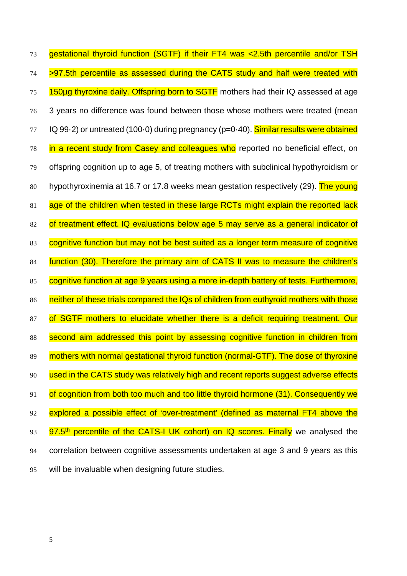73 gestational thyroid function (SGTF) if their FT4 was <2.5th percentile and/or TSH 74 >97.5th percentile as assessed during the CATS study and half were treated with 75 150ug thyroxine daily. Offspring born to SGTF mothers had their IQ assessed at age 76 3 years no difference was found between those whose mothers were treated (mean 77 IQ 99.2) or untreated (100.0) during pregnancy (p=0.40). Similar results were obtained 78 in a recent study from Casey and colleagues who reported no beneficial effect, on 79 offspring cognition up to age 5, of treating mothers with subclinical hypothyroidism or 80 hypothyroxinemia at 16.7 or 17.8 weeks mean gestation respectively [\(29\)](#page-20-0). The young 81 age of the children when tested in these large RCTs might explain the reported lack 82 of treatment effect. IQ evaluations below age 5 may serve as a general indicator of 83 cognitive function but may not be best suited as a longer term measure of cognitive 84 function [\(30\)](#page-20-1). Therefore the primary aim of CATS II was to measure the children's 85 cognitive function at age 9 years using a more in-depth battery of tests. Furthermore, 86 neither of these trials compared the IQs of children from euthyroid mothers with those 87 of SGTF mothers to elucidate whether there is a deficit requiring treatment. Our 88 second aim addressed this point by assessing cognitive function in children from 89 mothers with normal gestational thyroid function (normal-GTF). The dose of thyroxine 90 used in the CATS study was relatively high and recent reports suggest adverse effects 91 of cognition from both too much and too little thyroid hormone [\(31\)](#page-20-2). Consequently we 92 explored a possible effect of 'over-treatment' (defined as maternal FT4 above the 93 97.5<sup>th</sup> percentile of the CATS-I UK cohort) on IQ scores. Finally we analysed the 94 correlation between cognitive assessments undertaken at age 3 and 9 years as this 95 will be invaluable when designing future studies.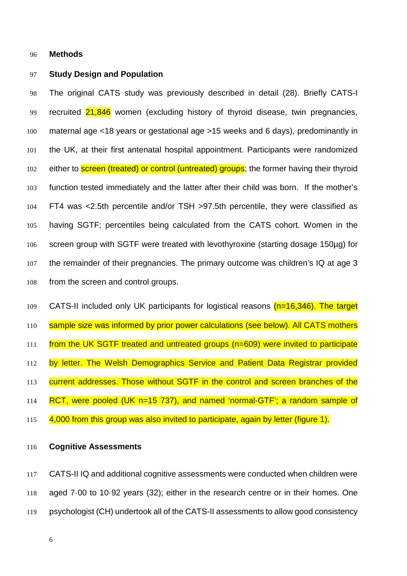### **Methods**

# **Study Design and Population**

 The original CATS study was previously described in detail [\(28\)](#page-19-9). Briefly CATS-I recruited 21,846 women (excluding history of thyroid disease, twin pregnancies, maternal age <18 years or gestational age >15 weeks and 6 days), predominantly in the UK, at their first antenatal hospital appointment. Participants were randomized 102 either to **screen (treated) or control (untreated) groups**; the former having their thyroid function tested immediately and the latter after their child was born. If the mother's FT4 was <2.5th percentile and/or TSH >97.5th percentile, they were classified as having SGTF; percentiles being calculated from the CATS cohort. Women in the screen group with SGTF were treated with levothyroxine (starting dosage 150µg) for the remainder of their pregnancies. The primary outcome was children's IQ at age 3 from the screen and control groups.

109 CATS-II included only UK participants for logistical reasons  $(n=16,346)$ . The target 110 sample size was informed by prior power calculations (see below). All CATS mothers from the UK SGTF treated and untreated groups (n=609) were invited to participate 112 by letter. The Welsh Demographics Service and Patient Data Registrar provided 113 current addresses. Those without SGTF in the control and screen branches of the RCT, were pooled (UK n=15 737), and named 'normal-GTF'; a random sample of 4,000 from this group was also invited to participate, again by letter (figure 1).

**Cognitive Assessments**

 CATS-II IQ and additional cognitive assessments were conducted when children were aged 7·00 to 10·92 years [\(32\)](#page-20-3); either in the research centre or in their homes. One psychologist (CH) undertook all of the CATS-II assessments to allow good consistency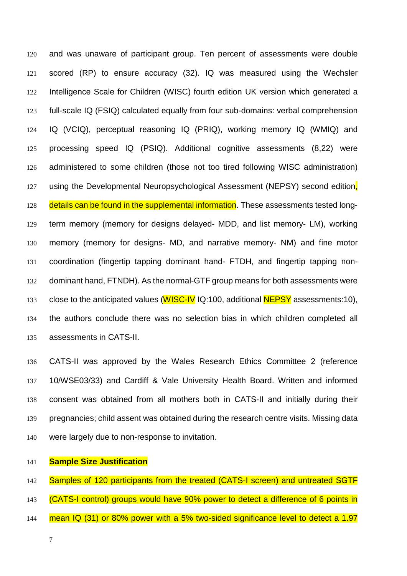and was unaware of participant group. Ten percent of assessments were double scored (RP) to ensure accuracy [\(32\)](#page-20-3). IQ was measured using the Wechsler Intelligence Scale for Children (WISC) fourth edition UK version which generated a full-scale IQ (FSIQ) calculated equally from four sub-domains: verbal comprehension IQ (VCIQ), perceptual reasoning IQ (PRIQ), working memory IQ (WMIQ) and processing speed IQ (PSIQ). Additional cognitive assessments [\(8,](#page-18-5)[22\)](#page-19-5) were administered to some children (those not too tired following WISC administration) 127 using the Developmental Neuropsychological Assessment (NEPSY) second edition. 128 details can be found in the supplemental information. These assessments tested long- term memory (memory for designs delayed- MDD, and list memory- LM), working memory (memory for designs- MD, and narrative memory- NM) and fine motor coordination (fingertip tapping dominant hand- FTDH, and fingertip tapping non- dominant hand, FTNDH). As the normal-GTF group means for both assessments were 133 close to the anticipated values (WISC-IV IQ:100, additional NEPSY assessments:10), the authors conclude there was no selection bias in which children completed all assessments in CATS-II.

 CATS-II was approved by the Wales Research Ethics Committee 2 (reference 10/WSE03/33) and Cardiff & Vale University Health Board. Written and informed consent was obtained from all mothers both in CATS-II and initially during their pregnancies; child assent was obtained during the research centre visits. Missing data were largely due to non-response to invitation.

# **Sample Size Justification**

142 Samples of 120 participants from the treated (CATS-I screen) and untreated SGTF 143 (CATS-I control) groups would have 90% power to detect a difference of 6 points in

144 mean IQ (31) or 80% power with a 5% two-sided significance level to detect a 1.97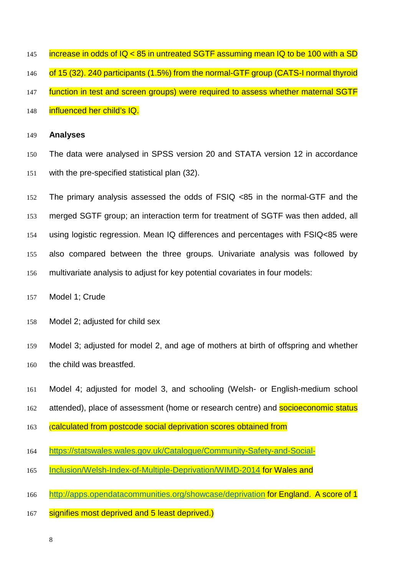- 145 increase in odds of  $IQ < 85$  in untreated SGTF assuming mean  $IQ$  to be 100 with a SD
- 146 of 15 (32). 240 participants (1.5%) from the normal-GTF group (CATS-I normal thyroid
- 147 function in test and screen groups) were required to assess whether maternal SGTF
- **influenced her child's IQ.**

#### **Analyses**

- The data were analysed in SPSS version 20 and STATA version 12 in accordance with the pre-specified statistical plan [\(32\)](#page-20-3).
- The primary analysis assessed the odds of FSIQ <85 in the normal-GTF and the merged SGTF group; an interaction term for treatment of SGTF was then added, all using logistic regression. Mean IQ differences and percentages with FSIQ<85 were also compared between the three groups. Univariate analysis was followed by multivariate analysis to adjust for key potential covariates in four models:
- Model 1; Crude
- Model 2; adjusted for child sex
- Model 3; adjusted for model 2, and age of mothers at birth of offspring and whether the child was breastfed.
- Model 4; adjusted for model 3, and schooling (Welsh- or English-medium school
- 162 attended), place of assessment (home or research centre) and **socioeconomic status**
- 163 (calculated from postcode social deprivation scores obtained from
- [https://statswales.wales.gov.uk/Catalogue/Community-Safety-and-Social-](https://statswales.wales.gov.uk/Catalogue/Community-Safety-and-Social-Inclusion/Welsh-Index-of-Multiple-Deprivation/WIMD-2014)
- [Inclusion/Welsh-Index-of-Multiple-Deprivation/WIMD-2014](https://statswales.wales.gov.uk/Catalogue/Community-Safety-and-Social-Inclusion/Welsh-Index-of-Multiple-Deprivation/WIMD-2014) for Wales and
- <http://apps.opendatacommunities.org/showcase/deprivation> for England. A score of 1
- 167 signifies most deprived and 5 least deprived.)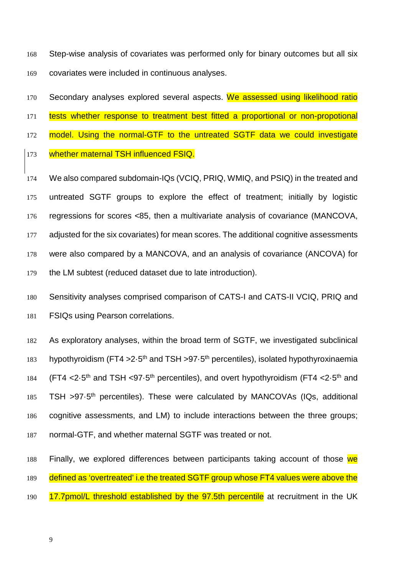168 Step-wise analysis of covariates was performed only for binary outcomes but all six 169 covariates were included in continuous analyses.

170 Secondary analyses explored several aspects. We assessed using likelihood ratio

171 tests whether response to treatment best fitted a proportional or non-propotional

172 model. Using the normal-GTF to the untreated SGTF data we could investigate

173 whether maternal TSH influenced FSIQ.

 We also compared subdomain-IQs (VCIQ, PRIQ, WMIQ, and PSIQ) in the treated and untreated SGTF groups to explore the effect of treatment; initially by logistic regressions for scores <85, then a multivariate analysis of covariance (MANCOVA, 177 adjusted for the six covariates) for mean scores. The additional cognitive assessments were also compared by a MANCOVA, and an analysis of covariance (ANCOVA) for the LM subtest (reduced dataset due to late introduction).

180 Sensitivity analyses comprised comparison of CATS-I and CATS-II VCIQ, PRIQ and 181 FSIQs using Pearson correlations.

182 As exploratory analyses, within the broad term of SGTF, we investigated subclinical 183 hypothyroidism (FT4 >  $2.5<sup>th</sup>$  and TSH > 97 $\cdot$ 5<sup>th</sup> percentiles), isolated hypothyroxinaemia 184 (FT4  $\lt 2.5$ <sup>th</sup> and TSH  $\lt 97.5$ <sup>th</sup> percentiles), and overt hypothyroidism (FT4  $\lt 2.5$ <sup>th</sup> and 185 TSH >97.5<sup>th</sup> percentiles). These were calculated by MANCOVAs (IQs, additional 186 cognitive assessments, and LM) to include interactions between the three groups; 187 normal-GTF, and whether maternal SGTF was treated or not.

188 Finally, we explored differences between participants taking account of those we 189 defined as 'overtreated' i.e the treated SGTF group whose FT4 values were above the 190 17.7pmol/L threshold established by the 97.5th percentile at recruitment in the UK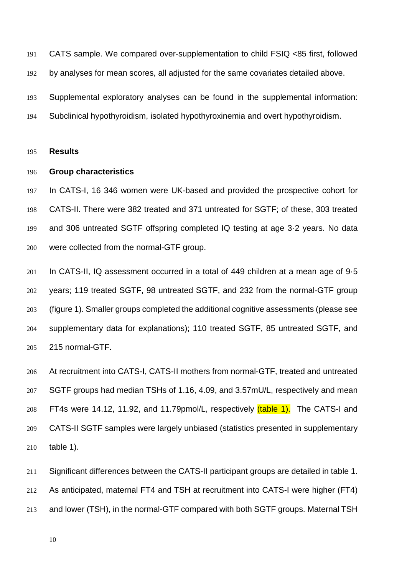CATS sample. We compared over-supplementation to child FSIQ <85 first, followed by analyses for mean scores, all adjusted for the same covariates detailed above. Supplemental exploratory analyses can be found in the supplemental information:

Subclinical hypothyroidism, isolated hypothyroxinemia and overt hypothyroidism.

#### **Results**

# **Group characteristics**

 In CATS-I, 16 346 women were UK-based and provided the prospective cohort for CATS-II. There were 382 treated and 371 untreated for SGTF; of these, 303 treated and 306 untreated SGTF offspring completed IQ testing at age 3·2 years. No data were collected from the normal-GTF group.

 In CATS-II, IQ assessment occurred in a total of 449 children at a mean age of 9·5 years; 119 treated SGTF, 98 untreated SGTF, and 232 from the normal-GTF group (figure 1). Smaller groups completed the additional cognitive assessments (please see supplementary data for explanations); 110 treated SGTF, 85 untreated SGTF, and 215 normal-GTF.

 At recruitment into CATS-I, CATS-II mothers from normal-GTF, treated and untreated SGTF groups had median TSHs of 1.16, 4.09, and 3.57mU/L, respectively and mean 208 FT4s were 14.12, 11.92, and 11.79pmol/L, respectively *(table 1)*. The CATS-I and CATS-II SGTF samples were largely unbiased (statistics presented in supplementary table 1).

 Significant differences between the CATS-II participant groups are detailed in table 1. As anticipated, maternal FT4 and TSH at recruitment into CATS-I were higher (FT4) and lower (TSH), in the normal-GTF compared with both SGTF groups. Maternal TSH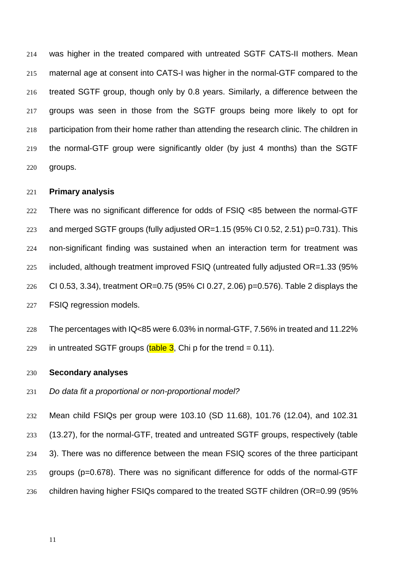was higher in the treated compared with untreated SGTF CATS-II mothers. Mean maternal age at consent into CATS-I was higher in the normal-GTF compared to the treated SGTF group, though only by 0.8 years. Similarly, a difference between the groups was seen in those from the SGTF groups being more likely to opt for participation from their home rather than attending the research clinic. The children in the normal-GTF group were significantly older (by just 4 months) than the SGTF groups.

## **Primary analysis**

 There was no significant difference for odds of FSIQ <85 between the normal-GTF and merged SGTF groups (fully adjusted OR=1.15 (95% CI 0.52, 2.51) p=0.731). This non-significant finding was sustained when an interaction term for treatment was included, although treatment improved FSIQ (untreated fully adjusted OR=1.33 (95% CI 0.53, 3.34), treatment OR=0.75 (95% CI 0.27, 2.06) p=0.576). Table 2 displays the FSIQ regression models.

 The percentages with IQ<85 were 6.03% in normal-GTF, 7.56% in treated and 11.22% 229 in untreated SGTF groups  $(table 3$ . Chi p for the trend = 0.11).

# **Secondary analyses**

Do data fit a proportional or non-proportional model?

 Mean child FSIQs per group were 103.10 (SD 11.68), 101.76 (12.04), and 102.31 (13.27), for the normal-GTF, treated and untreated SGTF groups, respectively (table 3). There was no difference between the mean FSIQ scores of the three participant groups (p=0.678). There was no significant difference for odds of the normal-GTF children having higher FSIQs compared to the treated SGTF children (OR=0.99 (95%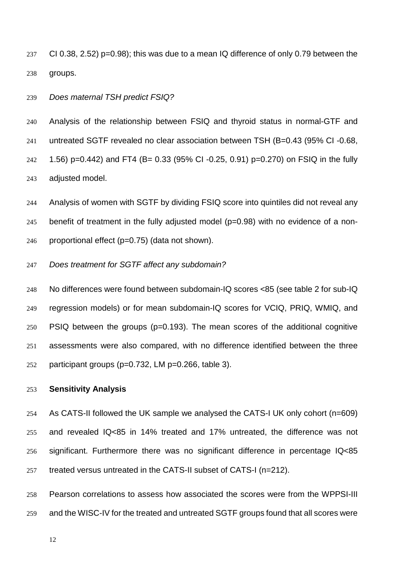CI 0.38, 2.52) p=0.98); this was due to a mean IQ difference of only 0.79 between the groups.

Does maternal TSH predict FSIQ?

 Analysis of the relationship between FSIQ and thyroid status in normal-GTF and untreated SGTF revealed no clear association between TSH (B=0.43 (95% CI -0.68, 1.56) p=0.442) and FT4 (B= 0.33 (95% CI -0.25, 0.91) p=0.270) on FSIQ in the fully adjusted model.

 Analysis of women with SGTF by dividing FSIQ score into quintiles did not reveal any benefit of treatment in the fully adjusted model (p=0.98) with no evidence of a non-246 proportional effect  $(p=0.75)$  (data not shown).

# Does treatment for SGTF affect any subdomain?

 No differences were found between subdomain-IQ scores <85 (see table 2 for sub-IQ regression models) or for mean subdomain-IQ scores for VCIQ, PRIQ, WMIQ, and PSIQ between the groups (p=0.193). The mean scores of the additional cognitive assessments were also compared, with no difference identified between the three participant groups (p=0.732, LM p=0.266, table 3).

# **Sensitivity Analysis**

 As CATS-II followed the UK sample we analysed the CATS-I UK only cohort (n=609) and revealed IQ<85 in 14% treated and 17% untreated, the difference was not significant. Furthermore there was no significant difference in percentage IQ<85 treated versus untreated in the CATS-II subset of CATS-I (n=212).

 Pearson correlations to assess how associated the scores were from the WPPSI-III and the WISC-IV for the treated and untreated SGTF groups found that all scores were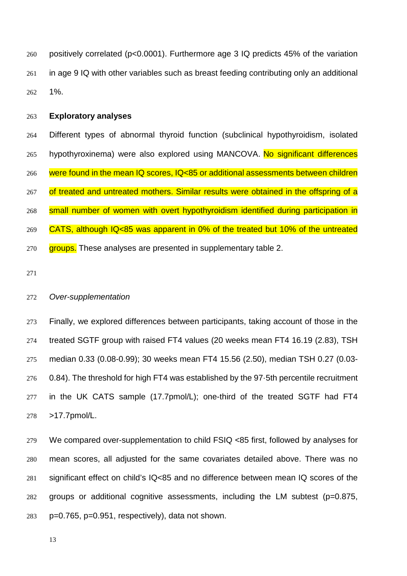positively correlated (p<0.0001). Furthermore age 3 IQ predicts 45% of the variation in age 9 IQ with other variables such as breast feeding contributing only an additional 1%.

# **Exploratory analyses**

 Different types of abnormal thyroid function (subclinical hypothyroidism, isolated 265 hypothyroxinema) were also explored using MANCOVA. No significant differences 266 were found in the mean IQ scores, IQ<85 or additional assessments between children 267 of treated and untreated mothers. Similar results were obtained in the offspring of a small number of women with overt hypothyroidism identified during participation in CATS, although IQ<85 was apparent in 0% of the treated but 10% of the untreated 270 groups. These analyses are presented in supplementary table 2.

# Over-supplementation

 Finally, we explored differences between participants, taking account of those in the treated SGTF group with raised FT4 values (20 weeks mean FT4 16.19 (2.83), TSH median 0.33 (0.08-0.99); 30 weeks mean FT4 15.56 (2.50), median TSH 0.27 (0.03- 0.84). The threshold for high FT4 was established by the 97 $\cdot$ 5th percentile recruitment 277 in the UK CATS sample (17.7pmol/L); one-third of the treated SGTF had FT4 >17.7pmol/L.

 We compared over-supplementation to child FSIQ <85 first, followed by analyses for mean scores, all adjusted for the same covariates detailed above. There was no significant effect on child's IQ<85 and no difference between mean IQ scores of the groups or additional cognitive assessments, including the LM subtest (p=0.875, p=0.765, p=0.951, respectively), data not shown.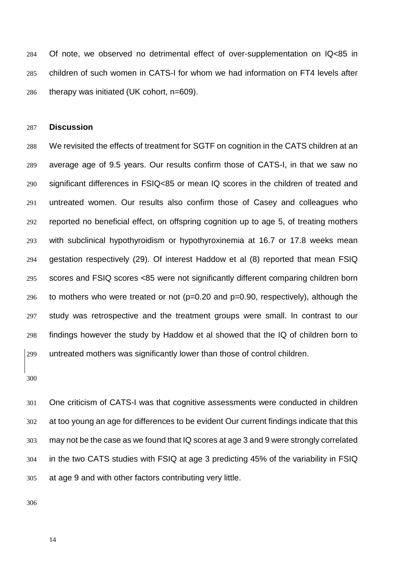Of note, we observed no detrimental effect of over-supplementation on IQ<85 in children of such women in CATS-I for whom we had information on FT4 levels after therapy was initiated (UK cohort, n=609).

#### **Discussion**

 We revisited the effects of treatment for SGTF on cognition in the CATS children at an average age of 9.5 years. Our results confirm those of CATS-I, in that we saw no significant differences in FSIQ<85 or mean IQ scores in the children of treated and untreated women. Our results also confirm those of Casey and colleagues who reported no beneficial effect, on offspring cognition up to age 5, of treating mothers with subclinical hypothyroidism or hypothyroxinemia at 16.7 or 17.8 weeks mean gestation respectively [\(29\)](#page-20-0). Of interest Haddow et al [\(8\)](#page-18-5) reported that mean FSIQ scores and FSIQ scores <85 were not significantly different comparing children born 296 to mothers who were treated or not  $(p=0.20$  and  $p=0.90$ , respectively), although the study was retrospective and the treatment groups were small. In contrast to our findings however the study by Haddow et al showed that the IQ of children born to untreated mothers was significantly lower than those of control children.

 One criticism of CATS-I was that cognitive assessments were conducted in children at too young an age for differences to be evident Our current findings indicate that this may not be the case as we found that IQ scores at age 3 and 9 were strongly correlated in the two CATS studies with FSIQ at age 3 predicting 45% of the variability in FSIQ at age 9 and with other factors contributing very little.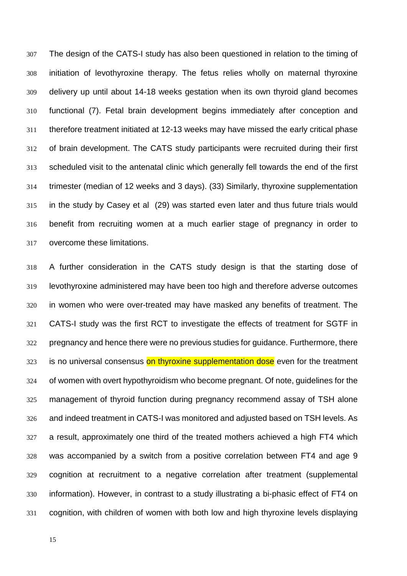The design of the CATS-I study has also been questioned in relation to the timing of initiation of levothyroxine therapy. The fetus relies wholly on maternal thyroxine delivery up until about 14-18 weeks gestation when its own thyroid gland becomes functional [\(7\)](#page-18-4). Fetal brain development begins immediately after conception and therefore treatment initiated at 12-13 weeks may have missed the early critical phase of brain development. The CATS study participants were recruited during their first scheduled visit to the antenatal clinic which generally fell towards the end of the first trimester (median of 12 weeks and 3 days). [\(33\)](#page-20-4) Similarly, thyroxine supplementation in the study by Casey et al [\(29\)](#page-20-0) was started even later and thus future trials would benefit from recruiting women at a much earlier stage of pregnancy in order to overcome these limitations.

 A further consideration in the CATS study design is that the starting dose of levothyroxine administered may have been too high and therefore adverse outcomes in women who were over-treated may have masked any benefits of treatment. The CATS-I study was the first RCT to investigate the effects of treatment for SGTF in pregnancy and hence there were no previous studies for guidance. Furthermore, there 323 is no universal consensus on thyroxine supplementation dose even for the treatment of women with overt hypothyroidism who become pregnant. Of note, guidelines for the management of thyroid function during pregnancy recommend assay of TSH alone and indeed treatment in CATS-I was monitored and adjusted based on TSH levels. As a result, approximately one third of the treated mothers achieved a high FT4 which was accompanied by a switch from a positive correlation between FT4 and age 9 cognition at recruitment to a negative correlation after treatment (supplemental information). However, in contrast to a study illustrating a bi-phasic effect of FT4 on cognition, with children of women with both low and high thyroxine levels displaying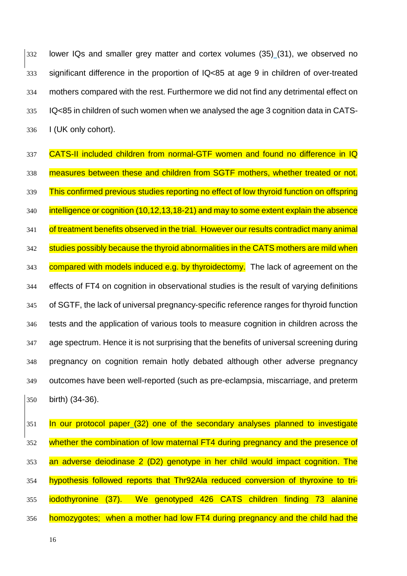lower IQs and smaller grey matter and cortex volumes (35) [\(31\)](#page-20-2), we observed no significant difference in the proportion of IQ<85 at age 9 in children of over-treated mothers compared with the rest. Furthermore we did not find any detrimental effect on IQ<85 in children of such women when we analysed the age 3 cognition data in CATS-I (UK only cohort).

337 CATS-II included children from normal-GTF women and found no difference in IQ measures between these and children from SGTF mothers, whether treated or not. 339 This confirmed previous studies reporting no effect of low thyroid function on offspring 340 intelligence or cognition [\(10](#page-19-2)[,12,](#page-19-0)[13](#page-19-1)[,18-21\)](#page-19-3) and may to some extent explain the absence 341 of treatment benefits observed in the trial. However our results contradict many animal 342 studies possibly because the thyroid abnormalities in the CATS mothers are mild when 343 compared with models induced e.g. by thyroidectomy. The lack of agreement on the effects of FT4 on cognition in observational studies is the result of varying definitions of SGTF, the lack of universal pregnancy-specific reference ranges for thyroid function tests and the application of various tools to measure cognition in children across the age spectrum. Hence it is not surprising that the benefits of universal screening during pregnancy on cognition remain hotly debated although other adverse pregnancy outcomes have been well-reported (such as pre-eclampsia, miscarriage, and preterm birth) [\(34-36\)](#page-20-5).

351 In our protocol paper [\(32\)](#page-20-3) one of the secondary analyses planned to investigate whether the combination of low maternal FT4 during pregnancy and the presence of an adverse deiodinase 2 (D2) genotype in her child would impact cognition. The hypothesis followed reports that Thr92Ala reduced conversion of thyroxine to tri- iodothyronine [\(37\)](#page-20-6). We genotyped 426 CATS children finding 73 alanine 356 homozygotes; when a mother had low FT4 during pregnancy and the child had the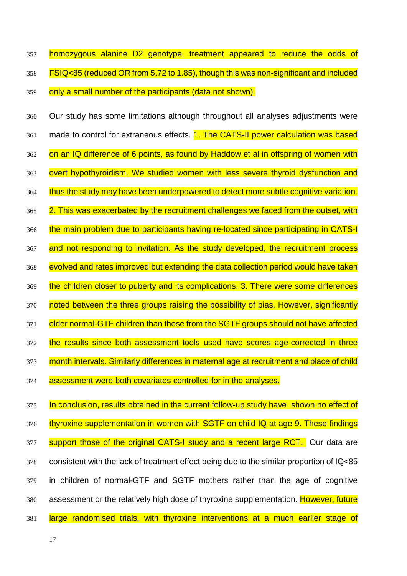357 homozygous alanine D2 genotype, treatment appeared to reduce the odds of 358 FSIQ<85 (reduced OR from 5.72 to 1.85), though this was non-significant and included 359 only a small number of the participants (data not shown).

360 Our study has some limitations although throughout all analyses adjustments were 361 made to control for extraneous effects. **1. The CATS-II power calculation was based** 362 on an IQ difference of 6 points, as found by Haddow et al in offspring of women with 363 overt hypothyroidism. We studied women with less severe thyroid dysfunction and 364 thus the study may have been underpowered to detect more subtle cognitive variation. 365 2. This was exacerbated by the recruitment challenges we faced from the outset, with 366 the main problem due to participants having re-located since participating in CATS-I 367 and not responding to invitation. As the study developed, the recruitment process 368 evolved and rates improved but extending the data collection period would have taken 369 the children closer to puberty and its complications. 3. There were some differences 370 noted between the three groups raising the possibility of bias. However, significantly 371 older normal-GTF children than those from the SGTF groups should not have affected 372 the results since both assessment tools used have scores age-corrected in three 373 month intervals. Similarly differences in maternal age at recruitment and place of child 374 assessment were both covariates controlled for in the analyses.

375 In conclusion, results obtained in the current follow-up study have shown no effect of 376 thyroxine supplementation in women with SGTF on child IQ at age 9. These findings 377 support those of the original CATS-I study and a recent large RCT. Our data are 378 consistent with the lack of treatment effect being due to the similar proportion of IQ<85 379 in children of normal-GTF and SGTF mothers rather than the age of cognitive 380 assessment or the relatively high dose of thyroxine supplementation. However, future 381 large randomised trials, with thyroxine interventions at a much earlier stage of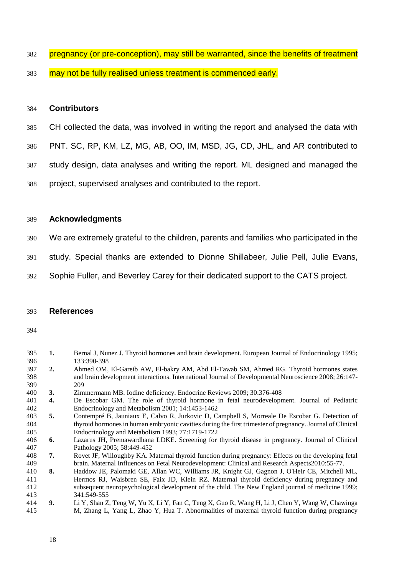- 382 pregnancy (or pre-conception), may still be warranted, since the benefits of treatment
- 383 may not be fully realised unless treatment is commenced early.

### **Contributors**

- CH collected the data, was involved in writing the report and analysed the data with
- PNT. SC, RP, KM, LZ, MG, AB, OO, IM, MSD, JG, CD, JHL, and AR contributed to
- study design, data analyses and writing the report. ML designed and managed the
- project, supervised analyses and contributed to the report.

#### **Acknowledgments**

- We are extremely grateful to the children, parents and families who participated in the
- study. Special thanks are extended to Dionne Shillabeer, Julie Pell, Julie Evans,
- Sophie Fuller, and Beverley Carey for their dedicated support to the CATS project.

### **References**

- <span id="page-18-0"></span> **1.** Bernal J, Nunez J. Thyroid hormones and brain development. European Journal of Endocrinology 1995; 133:390-398
- **2.** Ahmed OM, El-Gareib AW, El-bakry AM, Abd El-Tawab SM, Ahmed RG. Thyroid hormones states and brain development interactions. International Journal of Developmental Neuroscience 2008; 26:147- 209
- 400 **3.** Zimmermann MB. Iodine deficiency. Endocrine Reviews 2009; 30:376-408<br>401 **4.** De Escobar GM. The role of thyroid hormone in fetal neurodevelopn
- <span id="page-18-1"></span>4. De Escobar GM. The role of thyroid hormone in fetal neurodevelopment. Journal of Pediatric Endocrinology and Metabolism 2001; 14:1453-1462
- <span id="page-18-2"></span> **5.** Contempré B, Jauniaux E, Calvo R, Jurkovic D, Campbell S, Morreale De Escobar G. Detection of thyroid hormones in human embryonic cavities during the first trimester of pregnancy. Journal of Clinical Endocrinology and Metabolism 1993; 77:1719-1722
- <span id="page-18-3"></span> **6.** Lazarus JH, Premawardhana LDKE. Screening for thyroid disease in pregnancy. Journal of Clinical Pathology 2005; 58:449-452
- <span id="page-18-4"></span> **7.** Rovet JF, Willoughby KA. Maternal thyroid function during pregnancy: Effects on the developing fetal 409 brain. Maternal Influences on Fetal Neurodevelopment: Clinical and Research Aspects2010:55-77.<br>410 **8.** Haddow JE, Palomaki GE, Allan WC, Williams JR, Knight GJ, Gagnon J, O'Heir CE, Mitchell
- <span id="page-18-5"></span> **8.** Haddow JE, Palomaki GE, Allan WC, Williams JR, Knight GJ, Gagnon J, O'Heir CE, Mitchell ML, Hermos RJ, Waisbren SE, Faix JD, Klein RZ. Maternal thyroid deficiency during pregnancy and subsequent neuropsychological development of the child. The New England journal of medicine 1999; 341:549-555
- <span id="page-18-6"></span> **9.** Li Y, Shan Z, Teng W, Yu X, Li Y, Fan C, Teng X, Guo R, Wang H, Li J, Chen Y, Wang W, Chawinga M, Zhang L, Yang L, Zhao Y, Hua T. Abnormalities of maternal thyroid function during pregnancy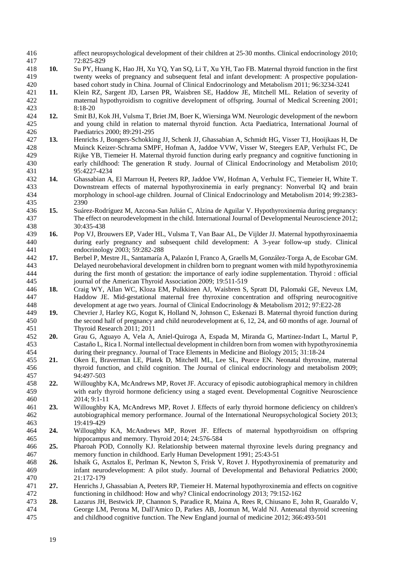<span id="page-19-9"></span><span id="page-19-8"></span><span id="page-19-7"></span><span id="page-19-6"></span><span id="page-19-5"></span><span id="page-19-4"></span><span id="page-19-3"></span><span id="page-19-2"></span><span id="page-19-1"></span><span id="page-19-0"></span>

| 416        |     | affect neuropsychological development of their children at 25-30 months. Clinical endocrinology 2010;                                                                                        |
|------------|-----|----------------------------------------------------------------------------------------------------------------------------------------------------------------------------------------------|
| 417        |     | 72:825-829                                                                                                                                                                                   |
| 418        | 10. | Su PY, Huang K, Hao JH, Xu YQ, Yan SQ, Li T, Xu YH, Tao FB. Maternal thyroid function in the first                                                                                           |
| 419        |     | twenty weeks of pregnancy and subsequent fetal and infant development: A prospective population-                                                                                             |
| 420        |     | based cohort study in China. Journal of Clinical Endocrinology and Metabolism 2011; 96:3234-3241                                                                                             |
| 421        | 11. | Klein RZ, Sargent JD, Larsen PR, Waisbren SE, Haddow JE, Mitchell ML. Relation of severity of                                                                                                |
| 422        |     | maternal hypothyroidism to cognitive development of offspring. Journal of Medical Screening 2001;                                                                                            |
| 423        |     | 8:18-20                                                                                                                                                                                      |
| 424        | 12. | Smit BJ, Kok JH, Vulsma T, Briet JM, Boer K, Wiersinga WM. Neurologic development of the newborn                                                                                             |
| 425        |     | and young child in relation to maternal thyroid function. Acta Paediatrica, International Journal of                                                                                         |
| 426        |     | Paediatrics 2000; 89:291-295                                                                                                                                                                 |
| 427        | 13. | Henrichs J, Bongers-Schokking JJ, Schenk JJ, Ghassabian A, Schmidt HG, Visser TJ, Hooijkaas H, De                                                                                            |
| 428        |     | Muinck Keizer-Schrama SMPF, Hofman A, Jaddoe VVW, Visser W, Steegers EAP, Verhulst FC, De                                                                                                    |
| 429        |     | Rijke YB, Tiemeier H. Maternal thyroid function during early pregnancy and cognitive functioning in                                                                                          |
| 430        |     | early childhood: The generation R study. Journal of Clinical Endocrinology and Metabolism 2010;                                                                                              |
| 431        | 14. | 95:4227-4234                                                                                                                                                                                 |
| 432<br>433 |     | Ghassabian A, El Marroun H, Peeters RP, Jaddoe VW, Hofman A, Verhulst FC, Tiemeier H, White T.<br>Downstream effects of maternal hypothyroxinemia in early pregnancy: Nonverbal IQ and brain |
| 434        |     | morphology in school-age children. Journal of Clinical Endocrinology and Metabolism 2014; 99:2383-                                                                                           |
| 435        |     | 2390                                                                                                                                                                                         |
| 436        | 15. | Suárez-Rodríguez M, Azcona-San Julián C, Alzina de Aguilar V. Hypothyroxinemia during pregnancy:                                                                                             |
| 437        |     | The effect on neurodevelopment in the child. International Journal of Developmental Neuroscience 2012;                                                                                       |
| 438        |     | 30:435-438                                                                                                                                                                                   |
| 439        | 16. | Pop VJ, Brouwers EP, Vader HL, Vulsma T, Van Baar AL, De Vijlder JJ. Maternal hypothyroxinaemia                                                                                              |
| 440        |     | during early pregnancy and subsequent child development: A 3-year follow-up study. Clinical                                                                                                  |
| 441        |     | endocrinology 2003; 59:282-288                                                                                                                                                               |
| 442        | 17. | Berbel P, Mestre JL, Santamaría A, Palazón I, Franco A, Graells M, González-Torga A, de Escobar GM.                                                                                          |
| 443        |     | Delayed neurobehavioral development in children born to pregnant women with mild hypothyroxinemia                                                                                            |
| 444        |     | during the first month of gestation: the importance of early iodine supplementation. Thyroid : official                                                                                      |
| 445        |     | journal of the American Thyroid Association 2009; 19:511-519                                                                                                                                 |
| 446        | 18. | Craig WY, Allan WC, Kloza EM, Pulkkinen AJ, Waisbren S, Spratt DI, Palomaki GE, Neveux LM,                                                                                                   |
| 447        |     | Haddow JE. Mid-gestational maternal free thyroxine concentration and offspring neurocognitive                                                                                                |
| 448        |     | development at age two years. Journal of Clinical Endocrinology & Metabolism 2012; 97:E22-28                                                                                                 |
| 449        | 19. | Chevrier J, Harley KG, Kogut K, Holland N, Johnson C, Eskenazi B. Maternal thyroid function during                                                                                           |
| 450        |     | the second half of pregnancy and child neurodevelopment at 6, 12, 24, and 60 months of age. Journal of                                                                                       |
| 451        |     | Thyroid Research 2011; 2011                                                                                                                                                                  |
| 452        | 20. | Grau G, Aguayo A, Vela A, Aniel-Quiroga A, Espada M, Miranda G, Martinez-Indart L, Martul P,                                                                                                 |
| 453        |     | Castaño L, Rica I. Normal intellectual development in children born from women with hypothyroxinemia                                                                                         |
| 454        |     | during their pregnancy. Journal of Trace Elements in Medicine and Biology 2015; 31:18-24                                                                                                     |
| 455        | 21. | Oken E, Braverman LE, Platek D, Mitchell ML, Lee SL, Pearce EN. Neonatal thyroxine, maternal                                                                                                 |
| 456        |     | thyroid function, and child cognition. The Journal of clinical endocrinology and metabolism 2009;                                                                                            |
| 457        |     | 94:497-503                                                                                                                                                                                   |
| 458        | 22. | Willoughby KA, McAndrews MP, Rovet JF. Accuracy of episodic autobiographical memory in children                                                                                              |
| 459        |     | with early thyroid hormone deficiency using a staged event. Developmental Cognitive Neuroscience                                                                                             |
| 460        |     | 2014; 9:1-11                                                                                                                                                                                 |
| 461        | 23. | Willoughby KA, McAndrews MP, Rovet J. Effects of early thyroid hormone deficiency on children's                                                                                              |
| 462        |     | autobiographical memory performance. Journal of the International Neuropsychological Society 2013;                                                                                           |
| 463        |     | 19:419-429                                                                                                                                                                                   |
| 464        | 24. | Willoughby KA, McAndrews MP, Rovet JF. Effects of maternal hypothyroidism on offspring                                                                                                       |
| 465        |     | hippocampus and memory. Thyroid 2014; 24:576-584<br>Pharoah POD, Connolly KJ. Relationship between maternal thyroxine levels during pregnancy and                                            |
| 466        | 25. | memory function in childhood. Early Human Development 1991; 25:43-51                                                                                                                         |
| 467<br>468 | 26. | Ishaik G, Asztalos E, Perlman K, Newton S, Frisk V, Rovet J. Hypothyroxinemia of prematurity and                                                                                             |
| 469        |     | infant neurodevelopment: A pilot study. Journal of Developmental and Behavioral Pediatrics 2000;                                                                                             |
| 470        |     | 21:172-179                                                                                                                                                                                   |
| 471        | 27. | Henrichs J, Ghassabian A, Peeters RP, Tiemeier H. Maternal hypothyroxinemia and effects on cognitive                                                                                         |
| 472        |     | functioning in childhood: How and why? Clinical endocrinology 2013; 79:152-162                                                                                                               |
| 473        | 28. | Lazarus JH, Bestwick JP, Channon S, Paradice R, Maina A, Rees R, Chiusano E, John R, Guaraldo V,                                                                                             |
| 474        |     | George LM, Perona M, Dall'Amico D, Parkes AB, Joomun M, Wald NJ. Antenatal thyroid screening                                                                                                 |
| 475        |     | and childhood cognitive function. The New England journal of medicine 2012; 366:493-501                                                                                                      |
|            |     |                                                                                                                                                                                              |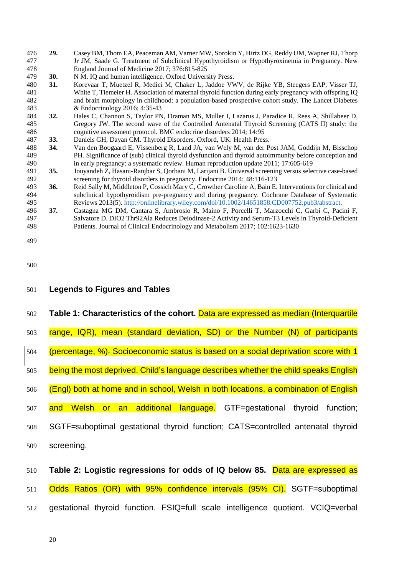<span id="page-20-6"></span><span id="page-20-5"></span><span id="page-20-4"></span><span id="page-20-3"></span>

| 481<br>482 |            | White T, Tiemeier H. Association of maternal thyroid function during early pregnancy with offspring IQ<br>and brain morphology in childhood: a population-based prospective cohort study. The Lancet Diabetes |  |
|------------|------------|---------------------------------------------------------------------------------------------------------------------------------------------------------------------------------------------------------------|--|
| 483        |            | & Endocrinology 2016; 4:35-43                                                                                                                                                                                 |  |
| 484        | 32.        | Hales C, Channon S, Taylor PN, Draman MS, Muller I, Lazarus J, Paradice R, Rees A, Shillabeer D,                                                                                                              |  |
| 485<br>486 |            | Gregory JW. The second wave of the Controlled Antenatal Thyroid Screening (CATS II) study: the<br>cognitive assessment protocol. BMC endocrine disorders 2014; 14:95                                          |  |
| 487        | 33.        | Daniels GH, Dayan CM. Thyroid Disorders. Oxford, UK: Health Press.                                                                                                                                            |  |
| 488        | 34.        | Van den Boogaard E, Vissenberg R, Land JA, van Wely M, van der Post JAM, Goddijn M, Bisschop                                                                                                                  |  |
| 489        |            | PH. Significance of (sub) clinical thyroid dysfunction and thyroid autoimmunity before conception and                                                                                                         |  |
| 490        |            | in early pregnancy: a systematic review. Human reproduction update 2011; 17:605-619                                                                                                                           |  |
| 491        | 35.        | Jouyandeh Z, Hasani-Ranjbar S, Qorbani M, Larijani B. Universal screening versus selective case-based                                                                                                         |  |
| 492        |            | screening for thyroid disorders in pregnancy. Endocrine 2014; 48:116-123                                                                                                                                      |  |
| 493<br>494 | 36.        | Reid Sally M, Middleton P, Cossich Mary C, Crowther Caroline A, Bain E. Interventions for clinical and<br>subclinical hypothyroidism pre-pregnancy and during pregnancy. Cochrane Database of Systematic      |  |
| 495        |            | Reviews 2013(5). http://onlinelibrary.wiley.com/doi/10.1002/14651858.CD007752.pub3/abstract.                                                                                                                  |  |
| 496        | 37.        | Castagna MG DM, Cantara S, Ambrosio R, Maino F, Porcelli T, Marzocchi C, Garbi C, Pacini F,                                                                                                                   |  |
| 497        |            | Salvatore D. DIO2 Thr92Ala Reduces Deiodinase-2 Activity and Serum-T3 Levels in Thyroid-Deficient                                                                                                             |  |
| 498        |            | Patients. Journal of Clinical Endocrinology and Metabolism 2017; 102:1623-1630                                                                                                                                |  |
|            |            |                                                                                                                                                                                                               |  |
| 499        |            |                                                                                                                                                                                                               |  |
|            |            |                                                                                                                                                                                                               |  |
| 500        |            |                                                                                                                                                                                                               |  |
|            |            |                                                                                                                                                                                                               |  |
|            |            |                                                                                                                                                                                                               |  |
| 501        |            | <b>Legends to Figures and Tables</b>                                                                                                                                                                          |  |
|            |            |                                                                                                                                                                                                               |  |
| 502        |            | Table 1: Characteristics of the cohort. Data are expressed as median (Interquartile                                                                                                                           |  |
|            |            |                                                                                                                                                                                                               |  |
| 503        |            | range, IQR), mean (standard deviation, SD) or the Number (N) of participants                                                                                                                                  |  |
|            |            |                                                                                                                                                                                                               |  |
| 504        |            | (percentage, %). Socioeconomic status is based on a social deprivation score with 1                                                                                                                           |  |
|            |            |                                                                                                                                                                                                               |  |
| 505        |            | being the most deprived. Child's language describes whether the child speaks English                                                                                                                          |  |
|            |            |                                                                                                                                                                                                               |  |
| 506        |            | (Engl) both at home and in school, Welsh in both locations, a combination of English                                                                                                                          |  |
|            |            |                                                                                                                                                                                                               |  |
| 507        |            | and Welsh or an additional language. GTF=gestational thyroid function;                                                                                                                                        |  |
|            |            |                                                                                                                                                                                                               |  |
| 508        |            | SGTF=suboptimal gestational thyroid function; CATS=controlled antenatal thyroid                                                                                                                               |  |
|            |            |                                                                                                                                                                                                               |  |
| 509        | screening. |                                                                                                                                                                                                               |  |
|            |            |                                                                                                                                                                                                               |  |
|            |            | Table 2: Logistic regressions for odds of IQ below 85. Data are expressed as                                                                                                                                  |  |
| 510        |            |                                                                                                                                                                                                               |  |
| 511        |            | Odds Ratios (OR) with 95% confidence intervals (95% CI). SGTF=suboptimal                                                                                                                                      |  |
|            |            |                                                                                                                                                                                                               |  |
| 512        |            | gestational thyroid function. FSIQ=full scale intelligence quotient. VCIQ=verbal                                                                                                                              |  |
|            |            |                                                                                                                                                                                                               |  |
|            |            |                                                                                                                                                                                                               |  |
|            |            |                                                                                                                                                                                                               |  |

<span id="page-20-0"></span>**29.** Casey BM, Thom EA, Peaceman AM, Varner MW, Sorokin Y, Hirtz DG, Reddy UM, Wapner RJ, Thorp Jr JM, Saade G. Treatment of Subclinical Hypothyroidism or Hypothyroxinemia in Pregnancy. New

England Journal of Medicine 2017; 376:815-825

<span id="page-20-2"></span><span id="page-20-1"></span>479 **30.** N M. IQ and human intelligence. Oxford University Press.<br>480 **31.** Korevaar T, Muetzel R, Medici M, Chaker L, Jaddoe VV

Jr JM, Saade G. Treatment of Subclinical Hypothyroidism or Hypothyroxinemia in Pregnancy. New

**31.** Korevaar T, Muetzel R, Medici M, Chaker L, Jaddoe VWV, de Rijke YB, Steegers EAP, Visser TJ,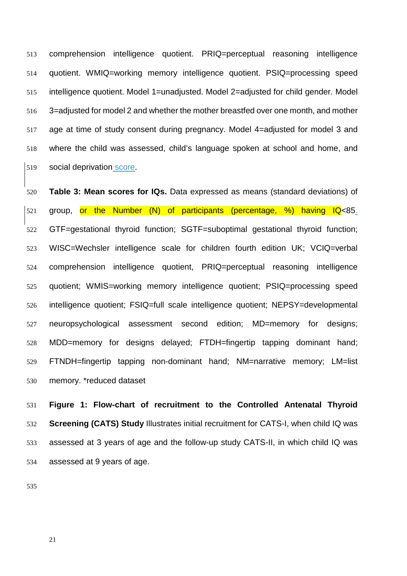comprehension intelligence quotient. PRIQ=perceptual reasoning intelligence quotient. WMIQ=working memory intelligence quotient. PSIQ=processing speed intelligence quotient. Model 1=unadjusted. Model 2=adjusted for child gender. Model 3=adjusted for model 2 and whether the mother breastfed over one month, and mother age at time of study consent during pregnancy. Model 4=adjusted for model 3 and where the child was assessed, child's language spoken at school and home, and 519 social deprivation score.

 **Table 3: Mean scores for IQs.** Data expressed as means (standard deviations) of group, or the Number (N) of participants (percentage, %) having IQ<85. GTF=gestational thyroid function; SGTF=suboptimal gestational thyroid function; WISC=Wechsler intelligence scale for children fourth edition UK; VCIQ=verbal comprehension intelligence quotient, PRIQ=perceptual reasoning intelligence quotient; WMIS=working memory intelligence quotient; PSIQ=processing speed intelligence quotient; FSIQ=full scale intelligence quotient; NEPSY=developmental neuropsychological assessment second edition; MD=memory for designs; MDD=memory for designs delayed; FTDH=fingertip tapping dominant hand; FTNDH=fingertip tapping non-dominant hand; NM=narrative memory; LM=list memory. \*reduced dataset

 **Figure 1: Flow-chart of recruitment to the Controlled Antenatal Thyroid Screening (CATS) Study** Illustrates initial recruitment for CATS-I, when child IQ was assessed at 3 years of age and the follow-up study CATS-II, in which child IQ was assessed at 9 years of age.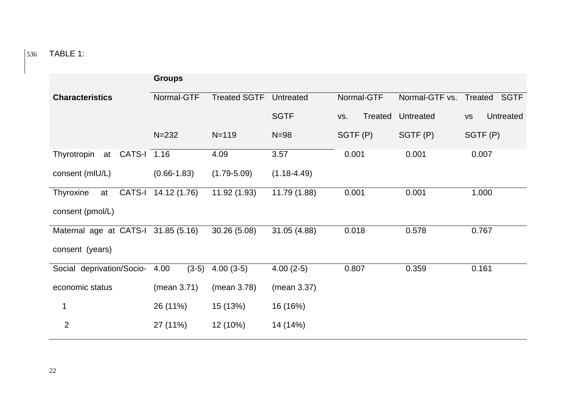536 TABLE 1:

|                                     | <b>Groups</b>       |                     |                 |                |                |                               |
|-------------------------------------|---------------------|---------------------|-----------------|----------------|----------------|-------------------------------|
| <b>Characteristics</b>              | Normal-GTF          | <b>Treated SGTF</b> | Untreated       | Normal-GTF     | Normal-GTF vs. | Treated SGTF                  |
|                                     |                     |                     | <b>SGTF</b>     | Treated<br>VS. | Untreated      | <b>Untreated</b><br><b>VS</b> |
|                                     | $N = 232$           | $N = 119$           | $N=98$          | SGTF (P)       | SGTF(P)        | SGTF(P)                       |
| Thyrotropin<br>CATS-I 1.16<br>at    |                     | 4.09                | 3.57            | 0.001          | 0.001          | 0.007                         |
| consent (mIU/L)                     | $(0.66 - 1.83)$     | $(1.79 - 5.09)$     | $(1.18 - 4.49)$ |                |                |                               |
| Thyroxine<br>at                     | CATS-I 14.12 (1.76) | 11.92 (1.93)        | 11.79 (1.88)    | 0.001          | 0.001          | 1.000                         |
| consent (pmol/L)                    |                     |                     |                 |                |                |                               |
| Maternal age at CATS-I 31.85 (5.16) |                     | 30.26 (5.08)        | 31.05 (4.88)    | 0.018          | 0.578          | 0.767                         |
| consent (years)                     |                     |                     |                 |                |                |                               |
| Social deprivation/Socio-           | $(3-5)$<br>4.00     | $4.00(3-5)$         | $4.00(2-5)$     | 0.807          | 0.359          | 0.161                         |
| economic status                     | (mean 3.71)         | (mean 3.78)         | (mean 3.37)     |                |                |                               |
| 1                                   | 26 (11%)            | 15 (13%)            | 16 (16%)        |                |                |                               |
| $\overline{2}$                      | 27 (11%)            | 12 (10%)            | 14 (14%)        |                |                |                               |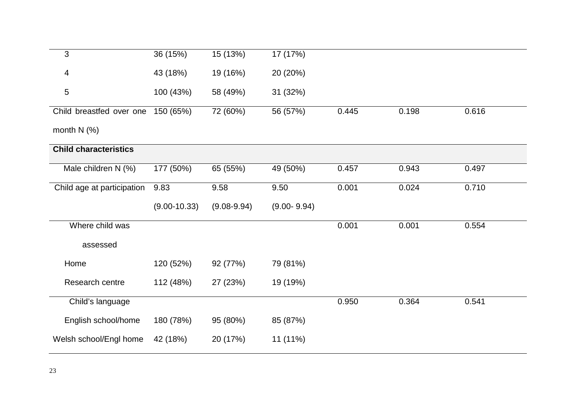| 3                            | 36 (15%)         | 15 (13%)        | 17 (17%)        |       |       |       |
|------------------------------|------------------|-----------------|-----------------|-------|-------|-------|
| 4                            | 43 (18%)         | 19 (16%)        | 20 (20%)        |       |       |       |
| $\overline{5}$               | 100 (43%)        | 58 (49%)        | 31 (32%)        |       |       |       |
| Child breastfed over one     | 150 (65%)        | 72 (60%)        | 56 (57%)        | 0.445 | 0.198 | 0.616 |
| month $N$ (%)                |                  |                 |                 |       |       |       |
| <b>Child characteristics</b> |                  |                 |                 |       |       |       |
| Male children N (%)          | 177 (50%)        | 65 (55%)        | 49 (50%)        | 0.457 | 0.943 | 0.497 |
| Child age at participation   | 9.83             | 9.58            | 9.50            | 0.001 | 0.024 | 0.710 |
|                              | $(9.00 - 10.33)$ | $(9.08 - 9.94)$ | $(9.00 - 9.94)$ |       |       |       |
| Where child was              |                  |                 |                 | 0.001 | 0.001 | 0.554 |
| assessed                     |                  |                 |                 |       |       |       |
| Home                         | 120 (52%)        | 92 (77%)        | 79 (81%)        |       |       |       |
| Research centre              | 112 (48%)        | 27 (23%)        | 19 (19%)        |       |       |       |
| Child's language             |                  |                 |                 | 0.950 | 0.364 | 0.541 |
| English school/home          | 180 (78%)        | 95 (80%)        | 85 (87%)        |       |       |       |
|                              |                  |                 |                 |       |       |       |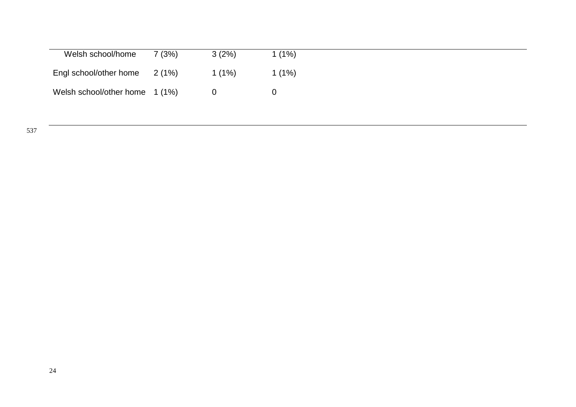| Welsh school/home              | 7 (3%) | 3(2%)    | 1(1%)    |
|--------------------------------|--------|----------|----------|
| Engl school/other home 2 (1%)  |        | $1(1\%)$ | $1(1\%)$ |
| Welsh school/other home 1 (1%) |        |          |          |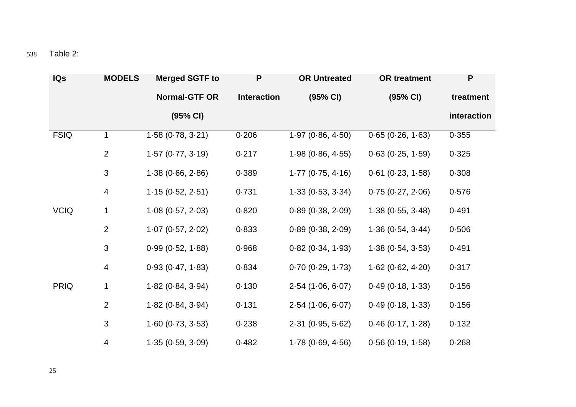| <b>IQs</b>  | <b>MODELS</b>  | <b>Merged SGTF to</b> | P                  | <b>OR Untreated</b> | <b>OR treatment</b> | P           |
|-------------|----------------|-----------------------|--------------------|---------------------|---------------------|-------------|
|             |                | <b>Normal-GTF OR</b>  | <b>Interaction</b> | (95% CI)            | (95% CI)            | treatment   |
|             |                | (95% CI)              |                    |                     |                     | interaction |
| <b>FSIQ</b> | 1              | 1.58(0.78, 3.21)      | 0.206              | 1.97(0.86, 4.50)    | 0.65(0.26, 1.63)    | 0.355       |
|             | $\overline{2}$ | 1.57(0.77, 3.19)      | 0.217              | 1.98(0.86, 4.55)    | 0.63(0.25, 1.59)    | 0.325       |
|             | $\mathbf{3}$   | 1.38(0.66, 2.86)      | 0.389              | 1.77(0.75, 4.16)    | $0.61$ (0.23, 1.58) | 0.308       |
|             | 4              | 1.15(0.52, 2.51)      | 0.731              | 1.33(0.53, 3.34)    | 0.75(0.27, 2.06)    | 0.576       |
| <b>VCIQ</b> | 1              | 1.08(0.57, 2.03)      | 0.820              | 0.89(0.38, 2.09)    | 1.38(0.55, 3.48)    | 0.491       |
|             | $\overline{2}$ | 1.07(0.57, 2.02)      | 0.833              | 0.89(0.38, 2.09)    | 1.36(0.54, 3.44)    | 0.506       |
|             | 3              | 0.99(0.52, 1.88)      | 0.968              | 0.82(0.34, 1.93)    | 1.38(0.54, 3.53)    | 0.491       |
|             | 4              | 0.93(0.47, 1.83)      | 0.834              | 0.70(0.29, 1.73)    | 1.62(0.62, 4.20)    | 0.317       |
| <b>PRIQ</b> | $\mathbf{1}$   | 1.82(0.84, 3.94)      | 0.130              | 2.54(1.06, 6.07)    | 0.49(0.18, 1.33)    | 0.156       |
|             | $\overline{2}$ | 1.82(0.84, 3.94)      | 0.131              | 2.54(1.06, 6.07)    | 0.49(0.18, 1.33)    | 0.156       |
|             | $\mathfrak{S}$ | 1.60(0.73, 3.53)      | 0.238              | 2.31(0.95, 5.62)    | 0.46(0.17, 1.28)    | 0.132       |
|             | 4              | 1.35(0.59, 3.09)      | 0.482              | 1.78(0.69, 4.56)    | 0.56(0.19, 1.58)    | 0.268       |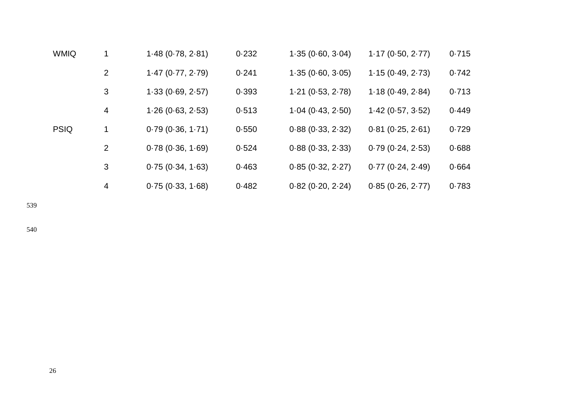| <b>WMIQ</b> |                | 1.48(0.78, 2.81) | 0.232 | 1.35(0.60, 3.04) | 1.17(0.50, 2.77) | 0.715 |
|-------------|----------------|------------------|-------|------------------|------------------|-------|
|             | $\overline{2}$ | 1.47(0.77, 2.79) | 0.241 | 1.35(0.60, 3.05) | 1.15(0.49, 2.73) | 0.742 |
|             | 3              | 1.33(0.69, 2.57) | 0.393 | 1.21(0.53, 2.78) | 1.18(0.49, 2.84) | 0.713 |
|             | 4              | 1.26(0.63, 2.53) | 0.513 | 1.04(0.43, 2.50) | 1.42(0.57, 3.52) | 0.449 |
| <b>PSIQ</b> |                | 0.79(0.36, 1.71) | 0.550 | 0.88(0.33, 2.32) | 0.81(0.25, 2.61) | 0.729 |
|             | $\overline{2}$ | 0.78(0.36, 1.69) | 0.524 | 0.88(0.33, 2.33) | 0.79(0.24, 2.53) | 0.688 |
|             | 3              | 0.75(0.34, 1.63) | 0.463 | 0.85(0.32, 2.27) | 0.77(0.24, 2.49) | 0.664 |
|             | 4              | 0.75(0.33, 1.68) | 0.482 | 0.82(0.20, 2.24) | 0.85(0.26, 2.77) | 0.783 |

539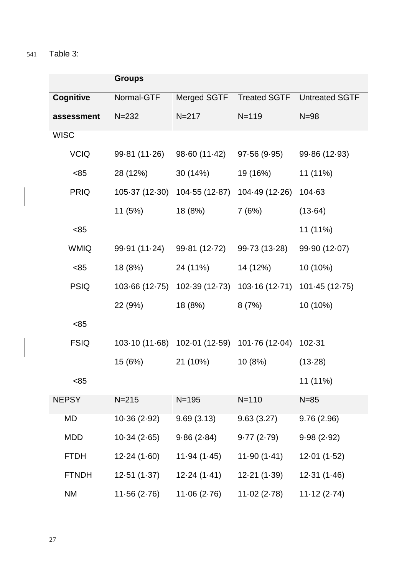541 Table 3:

|                  | <b>Groups</b>  |                                              |                                              |                       |  |  |
|------------------|----------------|----------------------------------------------|----------------------------------------------|-----------------------|--|--|
| <b>Cognitive</b> | Normal-GTF     | Merged SGTF                                  | <b>Treated SGTF</b>                          | <b>Untreated SGTF</b> |  |  |
| assessment       | $N = 232$      | $N = 217$                                    | $N = 119$                                    | $N=98$                |  |  |
| <b>WISC</b>      |                |                                              |                                              |                       |  |  |
| <b>VCIQ</b>      | 99.81 (11.26)  | 98.60 (11.42)                                | 97 $\cdot$ 56 (9 $\cdot$ 95)                 | 99 86 (12 93)         |  |  |
| <85              | 28 (12%)       | 30 (14%)                                     | 19 (16%)                                     | 11 (11%)              |  |  |
| <b>PRIQ</b>      | 105.37 (12.30) | 104.55(12.87)                                | 104 49 (12 - 26)                             | $104 - 63$            |  |  |
|                  | 11 (5%)        | 18 (8%)                                      | 7(6%)                                        | (13.64)               |  |  |
| <85              |                |                                              |                                              | 11 (11%)              |  |  |
| <b>WMIQ</b>      | 99 91 (11 24)  | 99.81 (12.72)                                | 99.73 (13.28)                                | 99.90 (12.07)         |  |  |
| <85              | 18 (8%)        | 24 (11%)                                     | 14 (12%)                                     | 10 (10%)              |  |  |
| <b>PSIQ</b>      | 103.66 (12.75) |                                              | 102.39 (12.73) 103.16 (12.71) 101.45 (12.75) |                       |  |  |
|                  | 22 (9%)        | 18 (8%)                                      | 8(7%)                                        | 10 (10%)              |  |  |
| <85              |                |                                              |                                              |                       |  |  |
| <b>FSIQ</b>      |                | 103 10 (11 68) 102 01 (12 59) 101 76 (12 04) |                                              | $102 - 31$            |  |  |
|                  | 15 (6%)        | 21 (10%)                                     | 10(8%)                                       | (13.28)               |  |  |
| <85              |                |                                              |                                              | 11 (11%)              |  |  |
| <b>NEPSY</b>     | $N = 215$      | $N = 195$                                    | $N = 110$                                    | $N=85$                |  |  |
| MD               | 10.36(2.92)    | 9.69(3.13)                                   | 9.63(3.27)                                   | 9.76(2.96)            |  |  |
| <b>MDD</b>       | 10.34(2.65)    | 9.86(2.84)                                   | 9.77(2.79)                                   | 9.98(2.92)            |  |  |
| <b>FTDH</b>      | 12.24(1.60)    | 11.94(1.45)                                  | 11.90(1.41)                                  | 12.01(1.52)           |  |  |
| <b>FTNDH</b>     | 12.51(1.37)    | 12.24(1.41)                                  | 12.21(1.39)                                  | 12.31(1.46)           |  |  |
| NM               | 11.56(2.76)    | 11.06(2.76)                                  | 11.02(2.78)                                  | 11.12(2.74)           |  |  |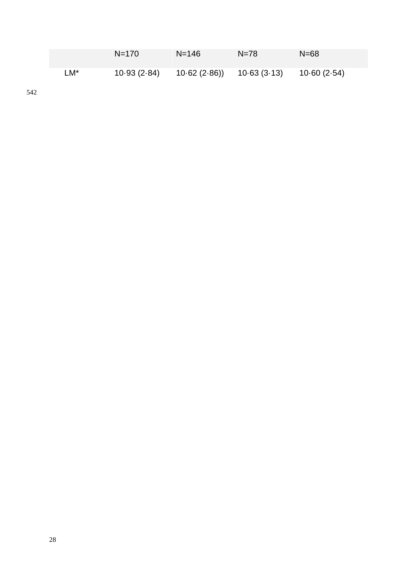|     | $N = 170$   | $N = 146$   | $N = 78$    | $N = 68$    |
|-----|-------------|-------------|-------------|-------------|
| LM* | 10.93(2.84) | 10.62(2.86) | 10.63(3.13) | 10.60(2.54) |